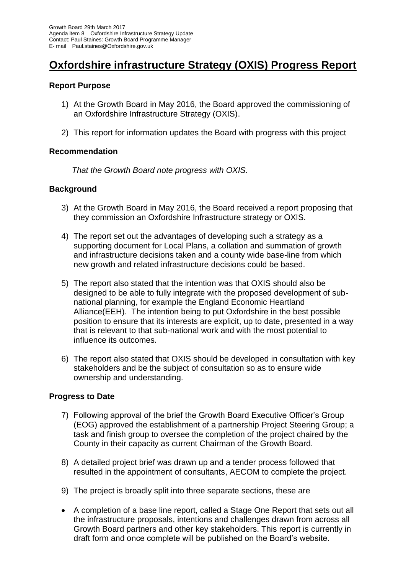# **Oxfordshire infrastructure Strategy (OXIS) Progress Report**

# **Report Purpose**

- 1) At the Growth Board in May 2016, the Board approved the commissioning of an Oxfordshire Infrastructure Strategy (OXIS).
- 2) This report for information updates the Board with progress with this project

### **Recommendation**

 *That the Growth Board note progress with OXIS.*

### **Background**

- 3) At the Growth Board in May 2016, the Board received a report proposing that they commission an Oxfordshire Infrastructure strategy or OXIS.
- 4) The report set out the advantages of developing such a strategy as a supporting document for Local Plans, a collation and summation of growth and infrastructure decisions taken and a county wide base-line from which new growth and related infrastructure decisions could be based.
- 5) The report also stated that the intention was that OXIS should also be designed to be able to fully integrate with the proposed development of subnational planning, for example the England Economic Heartland Alliance(EEH). The intention being to put Oxfordshire in the best possible position to ensure that its interests are explicit, up to date, presented in a way that is relevant to that sub-national work and with the most potential to influence its outcomes.
- 6) The report also stated that OXIS should be developed in consultation with key stakeholders and be the subject of consultation so as to ensure wide ownership and understanding.

# **Progress to Date**

- 7) Following approval of the brief the Growth Board Executive Officer's Group (EOG) approved the establishment of a partnership Project Steering Group; a task and finish group to oversee the completion of the project chaired by the County in their capacity as current Chairman of the Growth Board.
- 8) A detailed project brief was drawn up and a tender process followed that resulted in the appointment of consultants, AECOM to complete the project.
- 9) The project is broadly split into three separate sections, these are
- A completion of a base line report, called a Stage One Report that sets out all the infrastructure proposals, intentions and challenges drawn from across all Growth Board partners and other key stakeholders. This report is currently in draft form and once complete will be published on the Board's website.